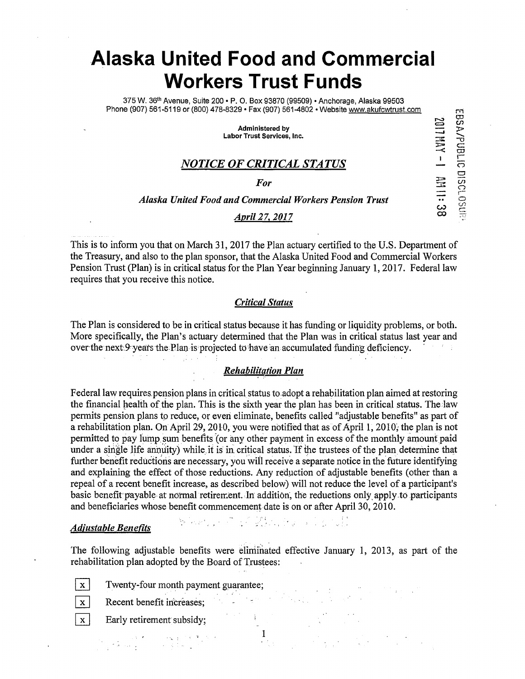# **Alaska United Food and Commercial Workers Trust Funds**

375 W. 35th Avenue, Suite 200 • P. 0. Box 93870 (99509) •Anchorage, Alaska 99503 Phone (907) 561-5119 or (800) 478-8329 • Fax (907) 561-4802 • Website www.akufcwtrust.com

> Administered by Labor Trust Services, Inc.

- VIIII0<br>--<br>Jauq/Aasa

2017 HAY - 1 HAI 1:38

Cl

i--

 $\frac{1}{2}$ 

## *NOTICE OF CRITICAL STATUS* C"?

For  $\overline{\Xi}$   $\overline{\Theta}$ 

#### *Alaska United Food and Commercial Workers Pension Trust*

#### *April 27, 2017* co

This is to inform you that on March 31, 2017 the Plan actuary certified to the U.S. Department of the Treasury, and also to the plan sponsor, that the Alaska United Food and Commercial Workers Pension Trust (Plan) is in critical status for the Plan Year beginning January 1, 2017. Federal law requires that you receive this notice.

#### *Critical Status*

The Plan is considered to be in critical status because it has funding or liquidity problems, or both. More specifically, the Plan's actuary detennined that the Plan was in critical status last year and over the next 9 years the Plan is projected to have an accumulated funding deficiency.  $\mathcal{F}=\{1,2,3,4\}$ in Li

#### *Rehabilitation Plan*

Federal law requires pension plans in critical status to adopt a rehabilitation plan aimed at restoring the financial health of the plan. This is the sixth year the plan has been in critical status. The law permits pension plans to reduce, or even eliminate, benefits called "adjustable benefits" as part of a rehabilitation plan. On April 29, 2010, you were notified that as of April 1, 2010, the plan is not permitted to pay lump sum benefits (or any other payment in excess of the monthly amount paid under a single life annuity) while it is in critical status. If the trustees of the plan determine that further benefit reductions are necessary, you will receive a separate notice in the future identifying and explaining the effect of those reductions. Any redµction of adjustable benefits (other than a repeal of a recent benefit increase, as described below) will not reduce the level of a participant's basic benefit payable at normal retirement. In addition, the reductions only apply to participants and beneficiaries whose benefit commencement date is on or after April 30, 2010.

#### *Adjustable Benefits*

The following adjustable benefits were eliminated effective January 1, 2013, as part of the rehabilitation plan adopted by the Board of Trustees:

 $\sum_{i=1}^n\left\{x_i\otimes x_i\right\}_{i=1}^n\left\{x_i\otimes x_i\right\}_{i=1}^n\left\{x_i\otimes x_i\right\}_{i=1}^n\left\{x_i\otimes x_i\right\}_{i=1}^n\left\{x_i\otimes x_i\right\}_{i=1}^n\left\{x_i\otimes x_i\right\}_{i=1}^n\left\{x_i\otimes x_i\right\}_{i=1}^n\left\{x_i\otimes x_i\right\}_{i=1}^n\left\{x_i\otimes x_i\right\}_{i=1}^n\left\{x_i\otimes x_i\right\}_{i=1}^n\$ 

I

 $x$  Twenty-four month payment guarantee;

 $\overline{\mathbf{x}}$  Recent benefit increases;

 $\boxed{\mathbf{x}}$  Early retirement subsidy;

းကို တက်သည်။ အမျိုးကို တက်သည် အမျိုးကို အမျိုးကို အမျိုးကို အမျိုးကို အမျိုးကို အမျိုးကို အမျိုးကို အမျိုးကို<br>ကို အမျိုးကို အမျိုးကို အမျိုးကို အမျိုးကို အမျိုးကို အမျိုးကို အမျိုးကို အမျိုးကို အမျိုးကို အမျိုးကို အမျိုး